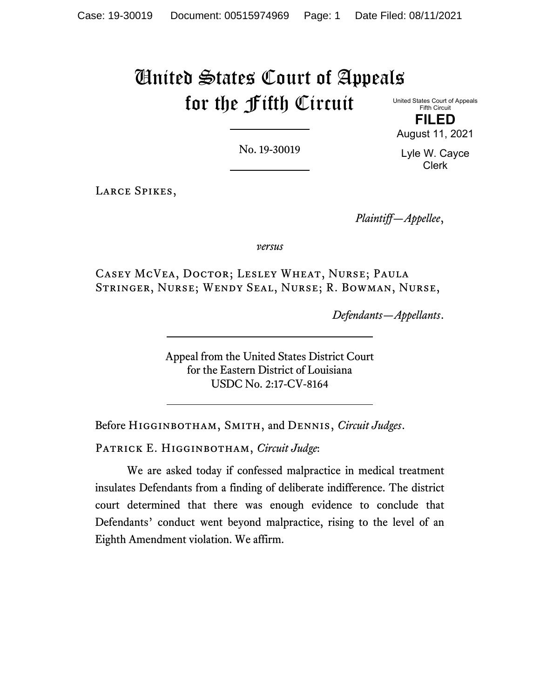# United States Court of Appeals for the Fifth Circuit

United States Court of Appeals Fifth Circuit **FILED** August 11, 2021

No. 19-30019

Lyle W. Cayce Clerk

Larce Spikes,

*Plaintiff—Appellee*,

*versus*

Casey McVea, Doctor; Lesley Wheat, Nurse; Paula Stringer, Nurse; Wendy Seal, Nurse; R. Bowman, Nurse,

*Defendants—Appellants*.

Appeal from the United States District Court for the Eastern District of Louisiana USDC No. 2:17-CV-8164

Before Higginbotham, Smith, and Dennis, *Circuit Judges*.

Patrick E. Higginbotham, *Circuit Judge*:

We are asked today if confessed malpractice in medical treatment insulates Defendants from a finding of deliberate indifference. The district court determined that there was enough evidence to conclude that Defendants' conduct went beyond malpractice, rising to the level of an Eighth Amendment violation. We affirm.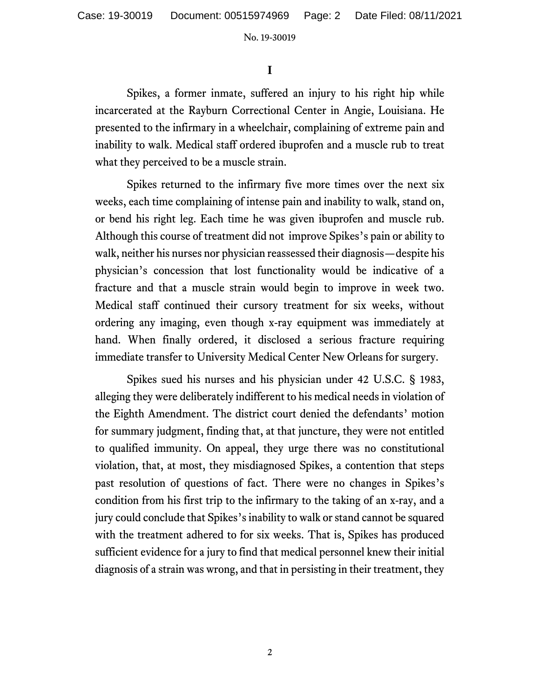**I**

Spikes, a former inmate, suffered an injury to his right hip while incarcerated at the Rayburn Correctional Center in Angie, Louisiana. He presented to the infirmary in a wheelchair, complaining of extreme pain and inability to walk. Medical staff ordered ibuprofen and a muscle rub to treat what they perceived to be a muscle strain.

Spikes returned to the infirmary five more times over the next six weeks, each time complaining of intense pain and inability to walk, stand on, or bend his right leg. Each time he was given ibuprofen and muscle rub. Although this course of treatment did not improve Spikes's pain or ability to walk, neither his nurses nor physician reassessed their diagnosis—despite his physician's concession that lost functionality would be indicative of a fracture and that a muscle strain would begin to improve in week two. Medical staff continued their cursory treatment for six weeks, without ordering any imaging, even though x-ray equipment was immediately at hand. When finally ordered, it disclosed a serious fracture requiring immediate transfer to University Medical Center New Orleans for surgery.

Spikes sued his nurses and his physician under 42 U.S.C. § 1983, alleging they were deliberately indifferent to his medical needs in violation of the Eighth Amendment. The district court denied the defendants' motion for summary judgment, finding that, at that juncture, they were not entitled to qualified immunity. On appeal, they urge there was no constitutional violation, that, at most, they misdiagnosed Spikes, a contention that steps past resolution of questions of fact. There were no changes in Spikes's condition from his first trip to the infirmary to the taking of an x-ray, and a jury could conclude that Spikes's inability to walk or stand cannot be squared with the treatment adhered to for six weeks. That is, Spikes has produced sufficient evidence for a jury to find that medical personnel knew their initial diagnosis of a strain was wrong, and that in persisting in their treatment, they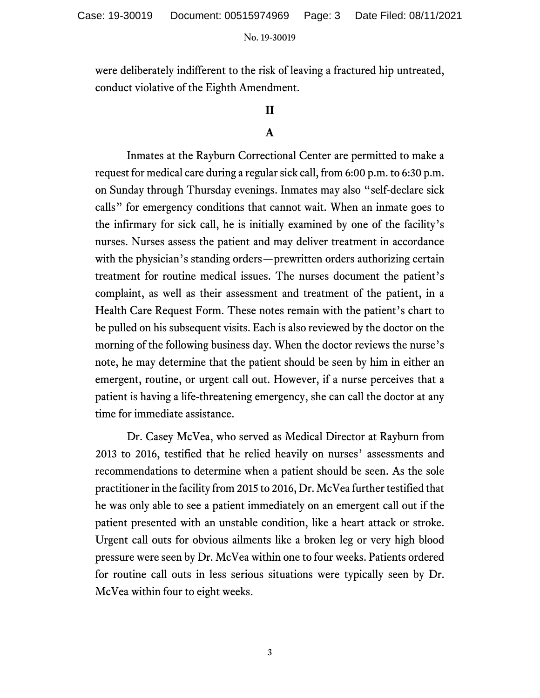were deliberately indifferent to the risk of leaving a fractured hip untreated, conduct violative of the Eighth Amendment.

# **II**

# **A**

Inmates at the Rayburn Correctional Center are permitted to make a request for medical care during a regular sick call, from 6:00 p.m. to 6:30 p.m. on Sunday through Thursday evenings. Inmates may also "self-declare sick calls" for emergency conditions that cannot wait. When an inmate goes to the infirmary for sick call, he is initially examined by one of the facility's nurses. Nurses assess the patient and may deliver treatment in accordance with the physician's standing orders—prewritten orders authorizing certain treatment for routine medical issues. The nurses document the patient's complaint, as well as their assessment and treatment of the patient, in a Health Care Request Form. These notes remain with the patient's chart to be pulled on his subsequent visits. Each is also reviewed by the doctor on the morning of the following business day. When the doctor reviews the nurse's note, he may determine that the patient should be seen by him in either an emergent, routine, or urgent call out. However, if a nurse perceives that a patient is having a life-threatening emergency, she can call the doctor at any time for immediate assistance.

Dr. Casey McVea, who served as Medical Director at Rayburn from 2013 to 2016, testified that he relied heavily on nurses' assessments and recommendations to determine when a patient should be seen. As the sole practitioner in the facility from 2015 to 2016, Dr. McVea further testified that he was only able to see a patient immediately on an emergent call out if the patient presented with an unstable condition, like a heart attack or stroke. Urgent call outs for obvious ailments like a broken leg or very high blood pressure were seen by Dr. McVea within one to four weeks. Patients ordered for routine call outs in less serious situations were typically seen by Dr. McVea within four to eight weeks.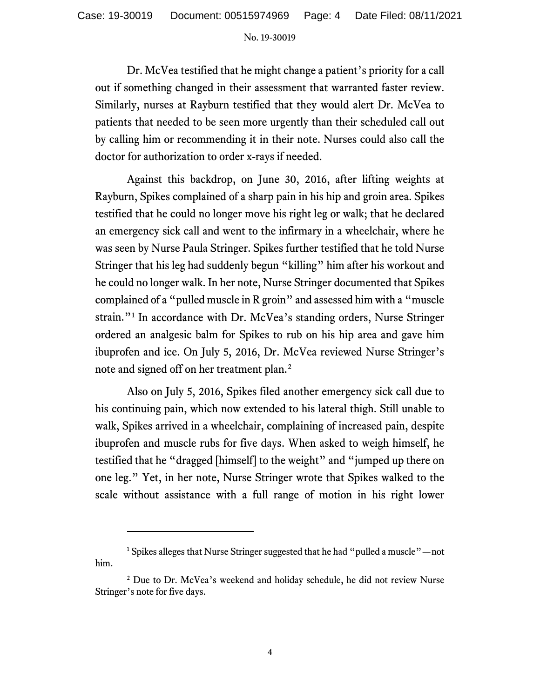Dr. McVea testified that he might change a patient's priority for a call out if something changed in their assessment that warranted faster review. Similarly, nurses at Rayburn testified that they would alert Dr. McVea to patients that needed to be seen more urgently than their scheduled call out by calling him or recommending it in their note. Nurses could also call the doctor for authorization to order x-rays if needed.

Against this backdrop, on June 30, 2016, after lifting weights at Rayburn, Spikes complained of a sharp pain in his hip and groin area. Spikes testified that he could no longer move his right leg or walk; that he declared an emergency sick call and went to the infirmary in a wheelchair, where he was seen by Nurse Paula Stringer. Spikes further testified that he told Nurse Stringer that his leg had suddenly begun "killing" him after his workout and he could no longer walk. In her note, Nurse Stringer documented that Spikes complained of a "pulled muscle in R groin" and assessed him with a "muscle strain."[1](#page-3-0) In accordance with Dr. McVea's standing orders, Nurse Stringer ordered an analgesic balm for Spikes to rub on his hip area and gave him ibuprofen and ice. On July 5, 2016, Dr. McVea reviewed Nurse Stringer's note and signed off on her treatment plan.[2](#page-3-1)

Also on July 5, 2016, Spikes filed another emergency sick call due to his continuing pain, which now extended to his lateral thigh. Still unable to walk, Spikes arrived in a wheelchair, complaining of increased pain, despite ibuprofen and muscle rubs for five days. When asked to weigh himself, he testified that he "dragged [himself] to the weight" and "jumped up there on one leg." Yet, in her note, Nurse Stringer wrote that Spikes walked to the scale without assistance with a full range of motion in his right lower

<span id="page-3-0"></span><sup>&</sup>lt;sup>1</sup> Spikes alleges that Nurse Stringer suggested that he had "pulled a muscle"—not him.

<span id="page-3-1"></span><sup>&</sup>lt;sup>2</sup> Due to Dr. McVea's weekend and holiday schedule, he did not review Nurse Stringer's note for five days.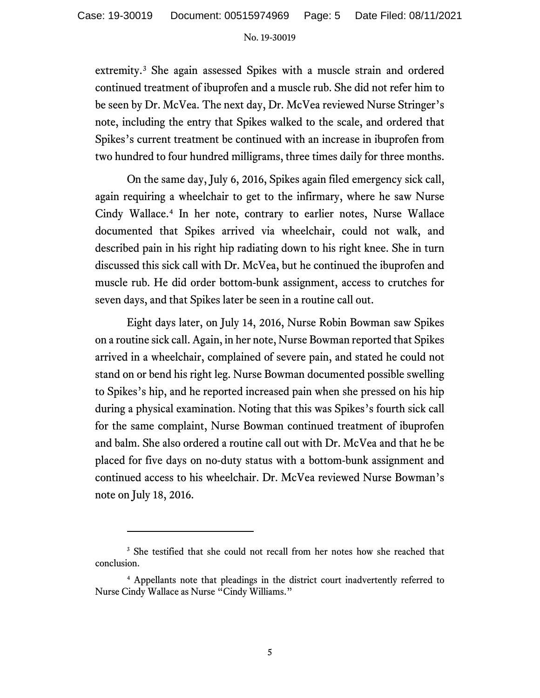extremity.<sup>[3](#page-4-0)</sup> She again assessed Spikes with a muscle strain and ordered continued treatment of ibuprofen and a muscle rub. She did not refer him to be seen by Dr. McVea. The next day, Dr. McVea reviewed Nurse Stringer's note, including the entry that Spikes walked to the scale, and ordered that Spikes's current treatment be continued with an increase in ibuprofen from two hundred to four hundred milligrams, three times daily for three months.

On the same day, July 6, 2016, Spikes again filed emergency sick call, again requiring a wheelchair to get to the infirmary, where he saw Nurse Cindy Wallace. [4](#page-4-1) In her note, contrary to earlier notes, Nurse Wallace documented that Spikes arrived via wheelchair, could not walk, and described pain in his right hip radiating down to his right knee. She in turn discussed this sick call with Dr. McVea, but he continued the ibuprofen and muscle rub. He did order bottom-bunk assignment, access to crutches for seven days, and that Spikes later be seen in a routine call out.

Eight days later, on July 14, 2016, Nurse Robin Bowman saw Spikes on a routine sick call. Again, in her note, Nurse Bowman reported that Spikes arrived in a wheelchair, complained of severe pain, and stated he could not stand on or bend his right leg. Nurse Bowman documented possible swelling to Spikes's hip, and he reported increased pain when she pressed on his hip during a physical examination. Noting that this was Spikes's fourth sick call for the same complaint, Nurse Bowman continued treatment of ibuprofen and balm. She also ordered a routine call out with Dr. McVea and that he be placed for five days on no-duty status with a bottom-bunk assignment and continued access to his wheelchair. Dr. McVea reviewed Nurse Bowman's note on July 18, 2016.

<span id="page-4-0"></span><sup>&</sup>lt;sup>3</sup> She testified that she could not recall from her notes how she reached that conclusion.

<span id="page-4-1"></span><sup>4</sup> Appellants note that pleadings in the district court inadvertently referred to Nurse Cindy Wallace as Nurse "Cindy Williams."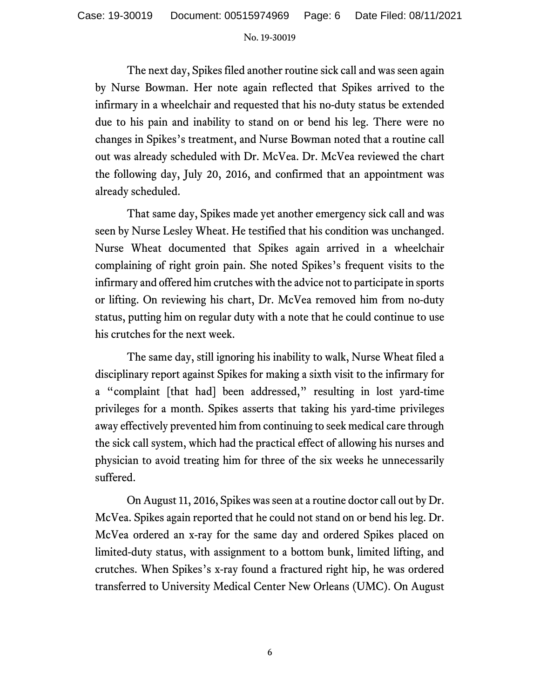The next day, Spikes filed another routine sick call and was seen again by Nurse Bowman. Her note again reflected that Spikes arrived to the infirmary in a wheelchair and requested that his no-duty status be extended due to his pain and inability to stand on or bend his leg. There were no changes in Spikes's treatment, and Nurse Bowman noted that a routine call out was already scheduled with Dr. McVea. Dr. McVea reviewed the chart the following day, July 20, 2016, and confirmed that an appointment was already scheduled.

That same day, Spikes made yet another emergency sick call and was seen by Nurse Lesley Wheat. He testified that his condition was unchanged. Nurse Wheat documented that Spikes again arrived in a wheelchair complaining of right groin pain. She noted Spikes's frequent visits to the infirmary and offered him crutches with the advice not to participate in sports or lifting. On reviewing his chart, Dr. McVea removed him from no-duty status, putting him on regular duty with a note that he could continue to use his crutches for the next week.

The same day, still ignoring his inability to walk, Nurse Wheat filed a disciplinary report against Spikes for making a sixth visit to the infirmary for a "complaint [that had] been addressed," resulting in lost yard-time privileges for a month. Spikes asserts that taking his yard-time privileges away effectively prevented him from continuing to seek medical care through the sick call system, which had the practical effect of allowing his nurses and physician to avoid treating him for three of the six weeks he unnecessarily suffered.

On August 11, 2016, Spikes was seen at a routine doctor call out by Dr. McVea. Spikes again reported that he could not stand on or bend his leg. Dr. McVea ordered an x-ray for the same day and ordered Spikes placed on limited-duty status, with assignment to a bottom bunk, limited lifting, and crutches. When Spikes's x-ray found a fractured right hip, he was ordered transferred to University Medical Center New Orleans (UMC). On August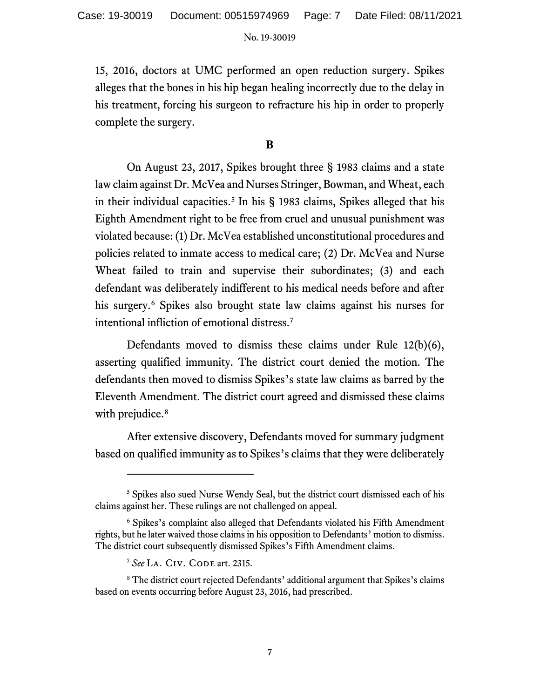15, 2016, doctors at UMC performed an open reduction surgery. Spikes alleges that the bones in his hip began healing incorrectly due to the delay in his treatment, forcing his surgeon to refracture his hip in order to properly complete the surgery.

## **B**

On August 23, 2017, Spikes brought three § 1983 claims and a state law claim against Dr. McVea and Nurses Stringer, Bowman, and Wheat, each in their individual capacities. [5](#page-6-0) In his § 1983 claims, Spikes alleged that his Eighth Amendment right to be free from cruel and unusual punishment was violated because: (1) Dr. McVea established unconstitutional procedures and policies related to inmate access to medical care; (2) Dr. McVea and Nurse Wheat failed to train and supervise their subordinates; (3) and each defendant was deliberately indifferent to his medical needs before and after his surgery. [6](#page-6-1) Spikes also brought state law claims against his nurses for intentional infliction of emotional distress.[7](#page-6-2)

Defendants moved to dismiss these claims under Rule 12(b)(6), asserting qualified immunity. The district court denied the motion. The defendants then moved to dismiss Spikes's state law claims as barred by the Eleventh Amendment. The district court agreed and dismissed these claims with prejudice.<sup>[8](#page-6-3)</sup>

After extensive discovery, Defendants moved for summary judgment based on qualified immunity as to Spikes's claims that they were deliberately

<span id="page-6-0"></span><sup>&</sup>lt;sup>5</sup> Spikes also sued Nurse Wendy Seal, but the district court dismissed each of his claims against her. These rulings are not challenged on appeal.

<span id="page-6-1"></span><sup>6</sup> Spikes's complaint also alleged that Defendants violated his Fifth Amendment rights, but he later waived those claims in his opposition to Defendants' motion to dismiss. The district court subsequently dismissed Spikes's Fifth Amendment claims.

<sup>7</sup> *See* La. Civ. Code art. 2315.

<span id="page-6-3"></span><span id="page-6-2"></span><sup>8</sup> The district court rejected Defendants' additional argument that Spikes's claims based on events occurring before August 23, 2016, had prescribed.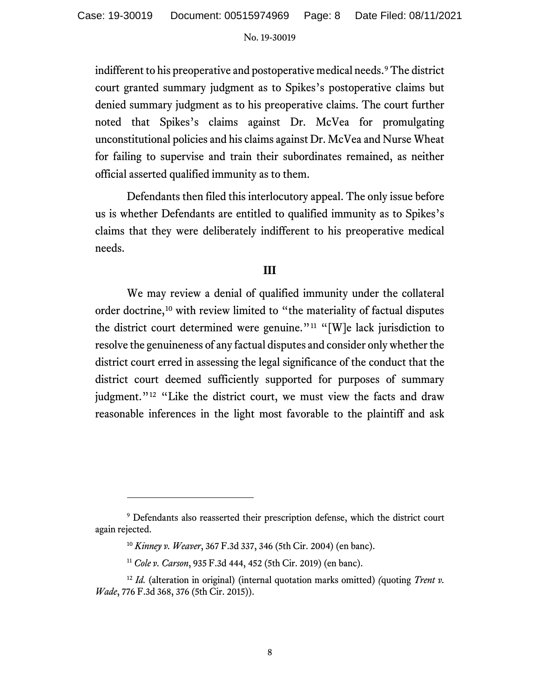indifferent to his preoperative and postoperative medical needs.<sup>[9](#page-7-0)</sup> The district court granted summary judgment as to Spikes's postoperative claims but denied summary judgment as to his preoperative claims. The court further noted that Spikes's claims against Dr. McVea for promulgating unconstitutional policies and his claims against Dr. McVea and Nurse Wheat for failing to supervise and train their subordinates remained, as neither official asserted qualified immunity as to them.

Defendants then filed this interlocutory appeal. The only issue before us is whether Defendants are entitled to qualified immunity as to Spikes's claims that they were deliberately indifferent to his preoperative medical needs.

## **III**

We may review a denial of qualified immunity under the collateral order doctrine,[10](#page-7-1) with review limited to "the materiality of factual disputes the district court determined were genuine."<sup>[11](#page-7-2)</sup> "[W]e lack jurisdiction to resolve the genuineness of any factual disputes and consider only whether the district court erred in assessing the legal significance of the conduct that the district court deemed sufficiently supported for purposes of summary judgment."<sup>[12](#page-7-3)</sup> "Like the district court, we must view the facts and draw reasonable inferences in the light most favorable to the plaintiff and ask

<span id="page-7-1"></span><span id="page-7-0"></span><sup>&</sup>lt;sup>9</sup> Defendants also reasserted their prescription defense, which the district court again rejected.

<sup>10</sup> *Kinney v. Weaver*, 367 F.3d 337, 346 (5th Cir. 2004) (en banc).

<sup>11</sup> *Cole v. Carson*, 935 F.3d 444, 452 (5th Cir. 2019) (en banc).

<span id="page-7-3"></span><span id="page-7-2"></span><sup>12</sup> *Id.* (alteration in original) (internal quotation marks omitted) *(*quoting *Trent v. Wade*, 776 F.3d 368, 376 (5th Cir. 2015)).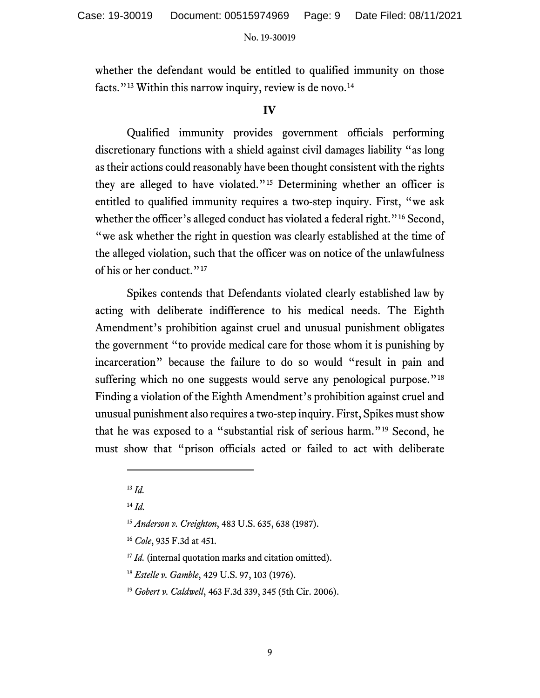whether the defendant would be entitled to qualified immunity on those facts."<sup>[13](#page-8-0)</sup> Within this narrow inquiry, review is de novo.<sup>[14](#page-8-1)</sup>

# **IV**

Qualified immunity provides government officials performing discretionary functions with a shield against civil damages liability "as long astheir actions could reasonably have been thought consistent with the rights they are alleged to have violated."[15](#page-8-2) Determining whether an officer is entitled to qualified immunity requires a two-step inquiry. First, "we ask whether the officer's alleged conduct has violated a federal right."<sup>[16](#page-8-3)</sup> Second, "we ask whether the right in question was clearly established at the time of the alleged violation, such that the officer was on notice of the unlawfulness of his or her conduct."<sup>[17](#page-8-4)</sup>

Spikes contends that Defendants violated clearly established law by acting with deliberate indifference to his medical needs. The Eighth Amendment's prohibition against cruel and unusual punishment obligates the government "to provide medical care for those whom it is punishing by incarceration" because the failure to do so would "result in pain and suffering which no one suggests would serve any penological purpose."<sup>[18](#page-8-5)</sup> Finding a violation of the Eighth Amendment's prohibition against cruel and unusual punishment also requires a two-step inquiry. First, Spikes must show that he was exposed to a "substantial risk of serious harm."[19](#page-8-6) Second, he must show that "prison officials acted or failed to act with deliberate

<span id="page-8-0"></span><sup>13</sup> *Id.*

<span id="page-8-1"></span><sup>14</sup> *Id.*

<span id="page-8-2"></span><sup>15</sup> *Anderson v. Creighton*, 483 U.S. 635, 638 (1987).

<span id="page-8-3"></span><sup>16</sup> *Cole*, 935 F.3d at 451.

<span id="page-8-4"></span><sup>&</sup>lt;sup>17</sup> *Id.* (internal quotation marks and citation omitted).

<span id="page-8-5"></span><sup>18</sup> *Estelle v. Gamble*, 429 U.S. 97, 103 (1976).

<span id="page-8-6"></span><sup>19</sup> *Gobert v. Caldwell*, 463 F.3d 339, 345 (5th Cir. 2006).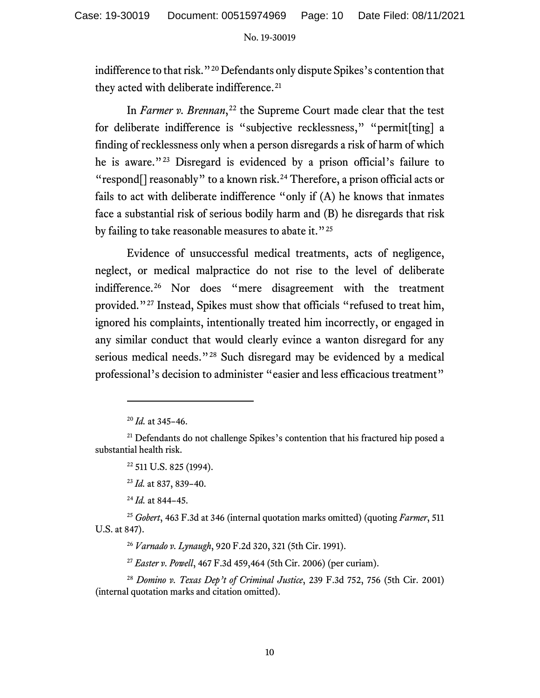indifference to that risk."[20](#page-9-0) Defendants only dispute Spikes's contention that they acted with deliberate indifference.<sup>[21](#page-9-1)</sup>

In *Farmer v. Brennan*,<sup>[22](#page-9-2)</sup> the Supreme Court made clear that the test for deliberate indifference is "subjective recklessness," "permit[ting] a finding of recklessness only when a person disregards a risk of harm of which he is aware."[23](#page-9-3) Disregard is evidenced by a prison official's failure to "respond[] reasonably" to a known risk.[24](#page-9-4) Therefore, a prison official acts or fails to act with deliberate indifference "only if (A) he knows that inmates face a substantial risk of serious bodily harm and (B) he disregards that risk by failing to take reasonable measures to abate it."<sup>[25](#page-9-5)</sup>

Evidence of unsuccessful medical treatments, acts of negligence, neglect, or medical malpractice do not rise to the level of deliberate indifference.[26](#page-9-6) Nor does "mere disagreement with the treatment provided."[27](#page-9-7) Instead, Spikes must show that officials "refused to treat him, ignored his complaints, intentionally treated him incorrectly, or engaged in any similar conduct that would clearly evince a wanton disregard for any serious medical needs."<sup>[28](#page-9-8)</sup> Such disregard may be evidenced by a medical professional's decision to administer "easier and less efficacious treatment"

<sup>24</sup> *Id.* at 844–45.

<span id="page-9-6"></span><span id="page-9-5"></span><span id="page-9-4"></span><span id="page-9-3"></span><sup>25</sup> *Gobert*, 463 F.3d at 346 (internal quotation marks omitted) (quoting *Farmer*, 511 U.S. at 847).

<sup>26</sup> *Varnado v. Lynaugh*, 920 F.2d 320, 321 (5th Cir. 1991).

<sup>27</sup> *Easter v. Powell*, 467 F.3d 459,464 (5th Cir. 2006) (per curiam).

<span id="page-9-8"></span><span id="page-9-7"></span><sup>28</sup> *Domino v. Texas Dep't of Criminal Justice*, 239 F.3d 752, 756 (5th Cir. 2001) (internal quotation marks and citation omitted).

<sup>20</sup> *Id.* at 345–46.

<span id="page-9-2"></span><span id="page-9-1"></span><span id="page-9-0"></span><sup>&</sup>lt;sup>21</sup> Defendants do not challenge Spikes's contention that his fractured hip posed a substantial health risk.

<sup>22</sup> 511 U.S. 825 (1994).

<sup>23</sup> *Id.* at 837, 839–40.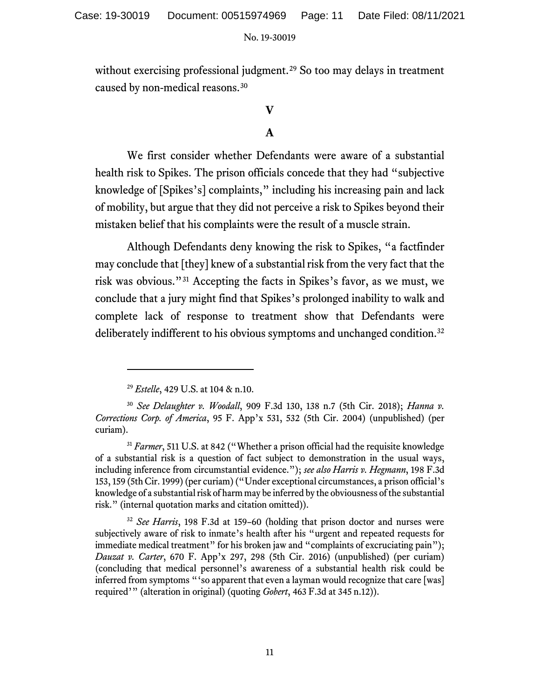without exercising professional judgment.<sup>[29](#page-10-0)</sup> So too may delays in treatment caused by non-medical reasons.[30](#page-10-1) 

# **V**

# **A**

We first consider whether Defendants were aware of a substantial health risk to Spikes. The prison officials concede that they had "subjective knowledge of [Spikes's] complaints," including his increasing pain and lack of mobility, but argue that they did not perceive a risk to Spikes beyond their mistaken belief that his complaints were the result of a muscle strain.

Although Defendants deny knowing the risk to Spikes, "a factfinder may conclude that [they] knew of a substantial risk from the very fact that the risk was obvious."[31](#page-10-2) Accepting the facts in Spikes's favor, as we must, we conclude that a jury might find that Spikes's prolonged inability to walk and complete lack of response to treatment show that Defendants were deliberately indifferent to his obvious symptoms and unchanged condition. [32](#page-10-3)

<sup>29</sup> *Estelle*, 429 U.S. at 104 & n.10.

<span id="page-10-1"></span><span id="page-10-0"></span><sup>30</sup> *See Delaughter v. Woodall*, 909 F.3d 130, 138 n.7 (5th Cir. 2018); *Hanna v. Corrections Corp. of America*, 95 F. App'x 531, 532 (5th Cir. 2004) (unpublished) (per curiam).

<span id="page-10-2"></span><sup>&</sup>lt;sup>31</sup> *Farmer*, 511 U.S. at 842 ("Whether a prison official had the requisite knowledge of a substantial risk is a question of fact subject to demonstration in the usual ways, including inference from circumstantial evidence."); *see also Harris v. Hegmann*, 198 F.3d 153, 159 (5th Cir. 1999) (per curiam) ("Under exceptional circumstances, a prison official's knowledge of a substantial risk of harm may be inferred by the obviousness of the substantial risk." (internal quotation marks and citation omitted)).

<span id="page-10-3"></span><sup>32</sup> *See Harris*, 198 F.3d at 159–60 (holding that prison doctor and nurses were subjectively aware of risk to inmate's health after his "urgent and repeated requests for immediate medical treatment" for his broken jaw and "complaints of excruciating pain"); *Dauzat v. Carter*, 670 F. App'x 297, 298 (5th Cir. 2016) (unpublished) (per curiam) (concluding that medical personnel's awareness of a substantial health risk could be inferred from symptoms "'so apparent that even a layman would recognize that care [was] required'" (alteration in original) (quoting *Gobert*, 463 F.3d at 345 n.12)).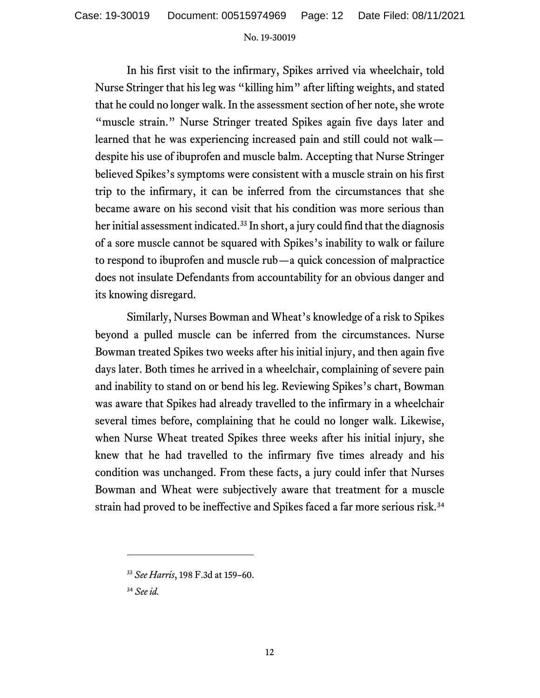In his first visit to the infirmary, Spikes arrived via wheelchair, told Nurse Stringer that his leg was "killing him" after lifting weights, and stated that he could no longer walk. In the assessment section of her note, she wrote "muscle strain." Nurse Stringer treated Spikes again five days later and learned that he was experiencing increased pain and still could not walk despite his use of ibuprofen and muscle balm. Accepting that Nurse Stringer believed Spikes's symptoms were consistent with a muscle strain on his first trip to the infirmary, it can be inferred from the circumstances that she became aware on his second visit that his condition was more serious than her initial assessment indicated.<sup>[33](#page-11-0)</sup> In short, a jury could find that the diagnosis of a sore muscle cannot be squared with Spikes's inability to walk or failure to respond to ibuprofen and muscle rub—a quick concession of malpractice does not insulate Defendants from accountability for an obvious danger and its knowing disregard.

Similarly, Nurses Bowman and Wheat's knowledge of a risk to Spikes beyond a pulled muscle can be inferred from the circumstances. Nurse Bowman treated Spikes two weeks after his initial injury, and then again five days later. Both times he arrived in a wheelchair, complaining of severe pain and inability to stand on or bend his leg. Reviewing Spikes's chart, Bowman was aware that Spikes had already travelled to the infirmary in a wheelchair several times before, complaining that he could no longer walk. Likewise, when Nurse Wheat treated Spikes three weeks after his initial injury, she knew that he had travelled to the infirmary five times already and his condition was unchanged. From these facts, a jury could infer that Nurses Bowman and Wheat were subjectively aware that treatment for a muscle strain had proved to be ineffective and Spikes faced a far more serious risk. [34](#page-11-1)

<span id="page-11-0"></span><sup>33</sup> *See Harris*, 198 F.3d at 159–60.

<span id="page-11-1"></span><sup>34</sup> *See id.*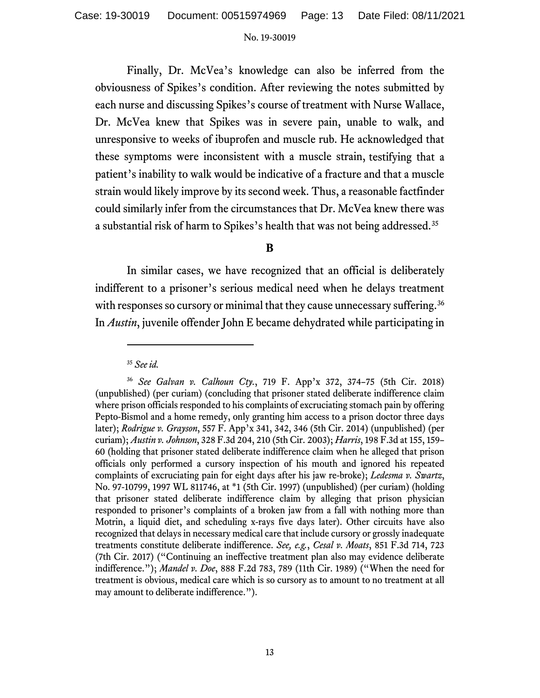Finally, Dr. McVea's knowledge can also be inferred from the obviousness of Spikes's condition. After reviewing the notes submitted by each nurse and discussing Spikes's course of treatment with Nurse Wallace, Dr. McVea knew that Spikes was in severe pain, unable to walk, and unresponsive to weeks of ibuprofen and muscle rub. He acknowledged that these symptoms were inconsistent with a muscle strain, testifying that a patient's inability to walk would be indicative of a fracture and that a muscle strain would likely improve by its second week. Thus, a reasonable factfinder could similarly infer from the circumstances that Dr. McVea knew there was a substantial risk of harm to Spikes's health that was not being addressed. [35](#page-12-0)

# **B**

In similar cases, we have recognized that an official is deliberately indifferent to a prisoner's serious medical need when he delays treatment with responses so cursory or minimal that they cause unnecessary suffering.<sup>[36](#page-12-1)</sup> In *Austin*, juvenile offender John E became dehydrated while participating in

<sup>35</sup> *See id.*

<span id="page-12-1"></span><span id="page-12-0"></span><sup>36</sup> *See Galvan v. Calhoun Cty.*, 719 F. App'x 372, 374–75 (5th Cir. 2018) (unpublished) (per curiam) (concluding that prisoner stated deliberate indifference claim where prison officials responded to his complaints of excruciating stomach pain by offering Pepto-Bismol and a home remedy, only granting him access to a prison doctor three days later); *Rodrigue v. Grayson*, 557 F. App'x 341, 342, 346 (5th Cir. 2014) (unpublished) (per curiam); *Austin v. Johnson*, 328 F.3d 204, 210 (5th Cir. 2003); *Harris*, 198 F.3d at 155, 159– 60 (holding that prisoner stated deliberate indifference claim when he alleged that prison officials only performed a cursory inspection of his mouth and ignored his repeated complaints of excruciating pain for eight days after his jaw re-broke); *Ledesma v. Swartz*, No. 97-10799, 1997 WL 811746, at \*1 (5th Cir. 1997) (unpublished) (per curiam) (holding that prisoner stated deliberate indifference claim by alleging that prison physician responded to prisoner's complaints of a broken jaw from a fall with nothing more than Motrin, a liquid diet, and scheduling x-rays five days later). Other circuits have also recognized that delays in necessary medical care that include cursory or grossly inadequate treatments constitute deliberate indifference. *See, e.g.*, *Cesal v. Moats*, 851 F.3d 714, 723 (7th Cir. 2017) ("Continuing an ineffective treatment plan also may evidence deliberate indifference."); *Mandel v. Doe*, 888 F.2d 783, 789 (11th Cir. 1989) ("When the need for treatment is obvious, medical care which is so cursory as to amount to no treatment at all may amount to deliberate indifference.").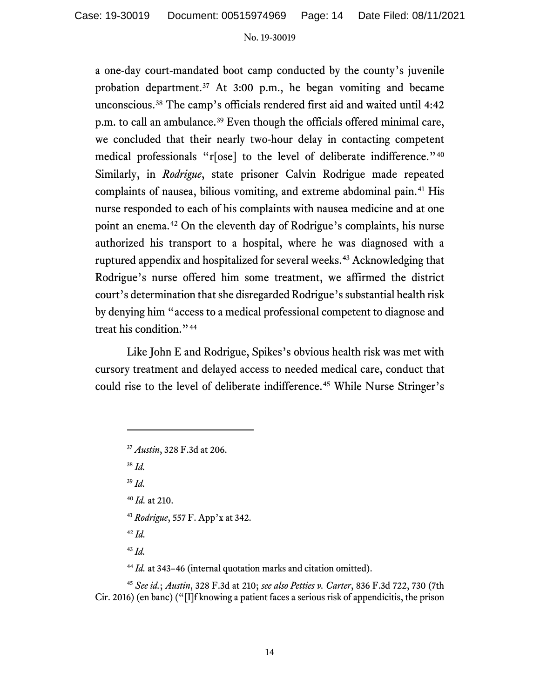a one-day court-mandated boot camp conducted by the county's juvenile probation department.[37](#page-13-0) At 3:00 p.m., he began vomiting and became unconscious.[38](#page-13-1) The camp's officials rendered first aid and waited until 4:42 p.m. to call an ambulance.<sup>[39](#page-13-2)</sup> Even though the officials offered minimal care, we concluded that their nearly two-hour delay in contacting competent medical professionals "r[ose] to the level of deliberate indifference."<sup>[40](#page-13-3)</sup> Similarly, in *Rodrigue*, state prisoner Calvin Rodrigue made repeated complaints of nausea, bilious vomiting, and extreme abdominal pain.<sup>[41](#page-13-4)</sup> His nurse responded to each of his complaints with nausea medicine and at one point an enema. [42](#page-13-5) On the eleventh day of Rodrigue's complaints, his nurse authorized his transport to a hospital, where he was diagnosed with a ruptured appendix and hospitalized for several weeks.<sup>[43](#page-13-6)</sup> Acknowledging that Rodrigue's nurse offered him some treatment, we affirmed the district court's determination that she disregarded Rodrigue's substantial health risk by denying him "access to a medical professional competent to diagnose and treat his condition."[44](#page-13-7)

Like John E and Rodrigue, Spikes's obvious health risk was met with cursory treatment and delayed access to needed medical care, conduct that could rise to the level of deliberate indifference.<sup>[45](#page-13-8)</sup> While Nurse Stringer's

<span id="page-13-2"></span><span id="page-13-1"></span><sup>38</sup> *Id.* <sup>39</sup> *Id.* <sup>40</sup> *Id.* at 210.

- <span id="page-13-3"></span><sup>41</sup> *Rodrigue*, 557 F. App'x at 342.
- <sup>42</sup> *Id.*
- <sup>43</sup> *Id.*

<sup>44</sup> *Id.* at 343–46 (internal quotation marks and citation omitted).

<span id="page-13-8"></span><span id="page-13-7"></span><span id="page-13-6"></span><span id="page-13-5"></span><span id="page-13-4"></span><sup>45</sup> *See id.*; *Austin*, 328 F.3d at 210; *see also Petties v. Carter*, 836 F.3d 722, 730 (7th Cir. 2016) (en banc) ("[I]f knowing a patient faces a serious risk of appendicitis, the prison

<span id="page-13-0"></span><sup>37</sup> *Austin*, 328 F.3d at 206.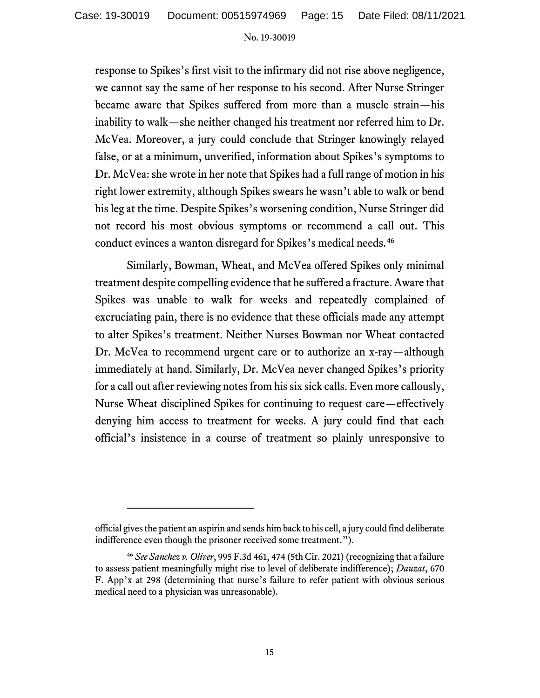response to Spikes's first visit to the infirmary did not rise above negligence, we cannot say the same of her response to his second. After Nurse Stringer became aware that Spikes suffered from more than a muscle strain—his inability to walk—she neither changed his treatment nor referred him to Dr. McVea. Moreover, a jury could conclude that Stringer knowingly relayed false, or at a minimum, unverified, information about Spikes's symptoms to Dr. McVea: she wrote in her note that Spikes had a full range of motion in his right lower extremity, although Spikes swears he wasn't able to walk or bend his leg at the time. Despite Spikes's worsening condition, Nurse Stringer did not record his most obvious symptoms or recommend a call out. This conduct evinces a wanton disregard for Spikes's medical needs.[46](#page-14-0)

Similarly, Bowman, Wheat, and McVea offered Spikes only minimal treatment despite compelling evidence that he suffered a fracture. Aware that Spikes was unable to walk for weeks and repeatedly complained of excruciating pain, there is no evidence that these officials made any attempt to alter Spikes's treatment. Neither Nurses Bowman nor Wheat contacted Dr. McVea to recommend urgent care or to authorize an x-ray—although immediately at hand. Similarly, Dr. McVea never changed Spikes's priority for a call out after reviewing notes from his six sick calls. Even more callously, Nurse Wheat disciplined Spikes for continuing to request care—effectively denying him access to treatment for weeks. A jury could find that each official's insistence in a course of treatment so plainly unresponsive to

official gives the patient an aspirin and sends him back to his cell, a jury could find deliberate indifference even though the prisoner received some treatment.").

<span id="page-14-0"></span><sup>46</sup> *See Sanchez v. Oliver*, 995 F.3d 461, 474 (5th Cir. 2021) (recognizing that a failure to assess patient meaningfully might rise to level of deliberate indifference); *Dauzat*, 670 F. App'x at 298 (determining that nurse's failure to refer patient with obvious serious medical need to a physician was unreasonable).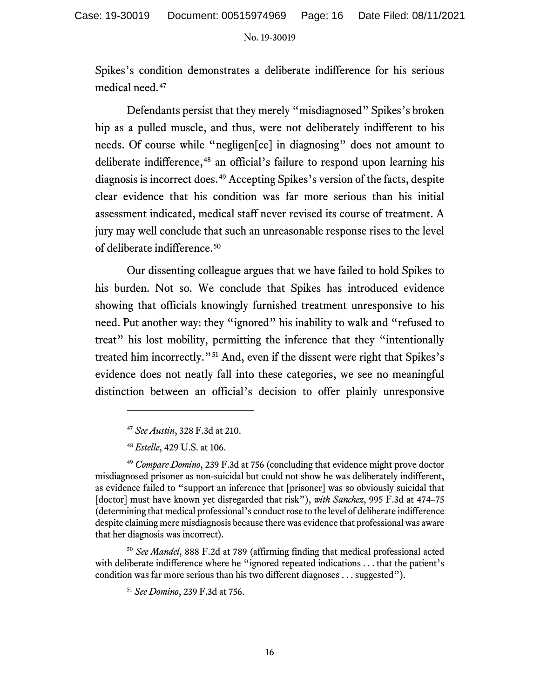Spikes's condition demonstrates a deliberate indifference for his serious medical need.[47](#page-15-0)

Defendants persist that they merely "misdiagnosed" Spikes's broken hip as a pulled muscle, and thus, were not deliberately indifferent to his needs. Of course while "negligen[ce] in diagnosing" does not amount to deliberate indifference,<sup>[48](#page-15-1)</sup> an official's failure to respond upon learning his diagnosis is incorrect does.<sup>[49](#page-15-2)</sup> Accepting Spikes's version of the facts, despite clear evidence that his condition was far more serious than his initial assessment indicated, medical staff never revised its course of treatment. A jury may well conclude that such an unreasonable response rises to the level of deliberate indifference.[50](#page-15-3)

Our dissenting colleague argues that we have failed to hold Spikes to his burden. Not so. We conclude that Spikes has introduced evidence showing that officials knowingly furnished treatment unresponsive to his need. Put another way: they "ignored" his inability to walk and "refused to treat" his lost mobility, permitting the inference that they "intentionally treated him incorrectly."[51](#page-15-4) And, even if the dissent were right that Spikes's evidence does not neatly fall into these categories, we see no meaningful distinction between an official's decision to offer plainly unresponsive

<span id="page-15-4"></span><span id="page-15-3"></span><sup>50</sup> *See Mandel*, 888 F.2d at 789 (affirming finding that medical professional acted with deliberate indifference where he "ignored repeated indications . . . that the patient's condition was far more serious than his two different diagnoses . . . suggested").

<sup>47</sup> *See Austin*, 328 F.3d at 210.

<sup>48</sup> *Estelle*, 429 U.S. at 106.

<span id="page-15-2"></span><span id="page-15-1"></span><span id="page-15-0"></span><sup>49</sup> *Compare Domino*, 239 F.3d at 756 (concluding that evidence might prove doctor misdiagnosed prisoner as non-suicidal but could not show he was deliberately indifferent, as evidence failed to "support an inference that [prisoner] was so obviously suicidal that [doctor] must have known yet disregarded that risk"), *with Sanchez*, 995 F.3d at 474–75 (determining that medical professional's conduct rose to the level of deliberate indifference despite claiming mere misdiagnosis because there was evidence that professional was aware that her diagnosis was incorrect).

<sup>51</sup> *See Domino*, 239 F.3d at 756.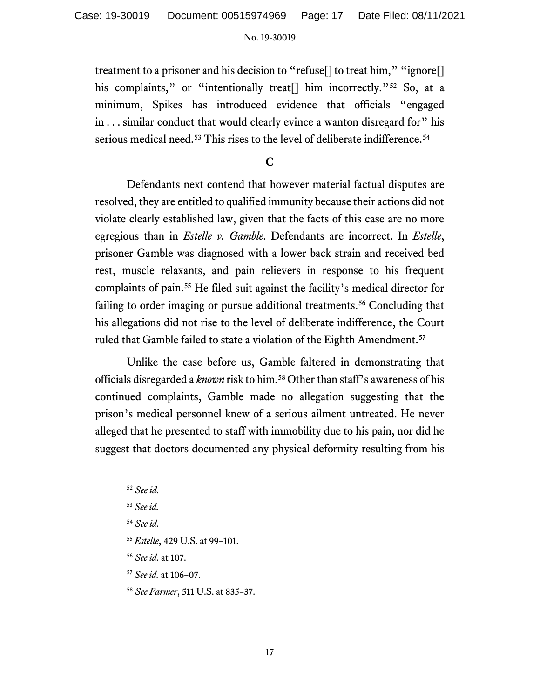treatment to a prisoner and his decision to "refuse[] to treat him," "ignore[] his complaints," or "intentionally treat<sup>[]</sup> him incorrectly."<sup>[52](#page-16-0)</sup> So, at a minimum, Spikes has introduced evidence that officials "engaged in . . . similar conduct that would clearly evince a wanton disregard for" his serious medical need.<sup>[53](#page-16-1)</sup> This rises to the level of deliberate indifference.<sup>[54](#page-16-2)</sup>

**C**

Defendants next contend that however material factual disputes are resolved, they are entitled to qualified immunity because their actions did not violate clearly established law, given that the facts of this case are no more egregious than in *Estelle v. Gamble*. Defendants are incorrect. In *Estelle*, prisoner Gamble was diagnosed with a lower back strain and received bed rest, muscle relaxants, and pain relievers in response to his frequent complaints of pain.[55](#page-16-3) He filed suit against the facility's medical director for failing to order imaging or pursue additional treatments.<sup>[56](#page-16-4)</sup> Concluding that his allegations did not rise to the level of deliberate indifference, the Court ruled that Gamble failed to state a violation of the Eighth Amendment.<sup>[57](#page-16-5)</sup>

Unlike the case before us, Gamble faltered in demonstrating that officials disregarded a *known* risk to him.[58](#page-16-6) Other than staff's awareness of his continued complaints, Gamble made no allegation suggesting that the prison's medical personnel knew of a serious ailment untreated. He never alleged that he presented to staff with immobility due to his pain, nor did he suggest that doctors documented any physical deformity resulting from his

<sup>54</sup> *See id.*

<span id="page-16-3"></span><sup>55</sup> *Estelle*, 429 U.S. at 99–101.

<span id="page-16-4"></span><sup>56</sup> *See id.* at 107.

<span id="page-16-5"></span><sup>57</sup> *See id.* at 106–07.

<span id="page-16-6"></span><sup>58</sup> *See Farmer*, 511 U.S. at 835–37.

<span id="page-16-0"></span><sup>52</sup> *See id.*

<span id="page-16-2"></span><span id="page-16-1"></span><sup>53</sup> *See id.*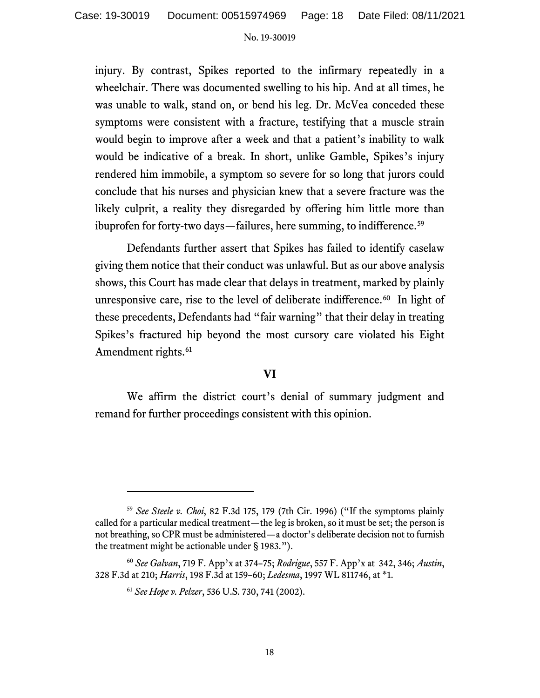injury. By contrast, Spikes reported to the infirmary repeatedly in a wheelchair. There was documented swelling to his hip. And at all times, he was unable to walk, stand on, or bend his leg. Dr. McVea conceded these symptoms were consistent with a fracture, testifying that a muscle strain would begin to improve after a week and that a patient's inability to walk would be indicative of a break. In short, unlike Gamble, Spikes's injury rendered him immobile, a symptom so severe for so long that jurors could conclude that his nurses and physician knew that a severe fracture was the likely culprit, a reality they disregarded by offering him little more than ibuprofen for forty-two days—failures, here summing, to indifference. [59](#page-17-0)

Defendants further assert that Spikes has failed to identify caselaw giving them notice that their conduct was unlawful. But as our above analysis shows, this Court has made clear that delays in treatment, marked by plainly unresponsive care, rise to the level of deliberate indifference.<sup>60</sup> In light of these precedents, Defendants had "fair warning" that their delay in treating Spikes's fractured hip beyond the most cursory care violated his Eight Amendment rights.<sup>[61](#page-17-2)</sup>

## **VI**

We affirm the district court's denial of summary judgment and remand for further proceedings consistent with this opinion.

<span id="page-17-0"></span><sup>59</sup> *See Steele v. Choi*, 82 F.3d 175, 179 (7th Cir. 1996) ("If the symptoms plainly called for a particular medical treatment—the leg is broken, so it must be set; the person is not breathing, so CPR must be administered—a doctor's deliberate decision not to furnish the treatment might be actionable under § 1983.").

<span id="page-17-2"></span><span id="page-17-1"></span><sup>60</sup> *See Galvan*, 719 F. App'x at 374–75; *Rodrigue*, 557 F. App'x at 342, 346; *Austin*, 328 F.3d at 210; *Harris*, 198 F.3d at 159–60; *Ledesma*, 1997 WL 811746, at \*1.

<sup>61</sup> *See Hope v. Pelzer*, 536 U.S. 730, 741 (2002).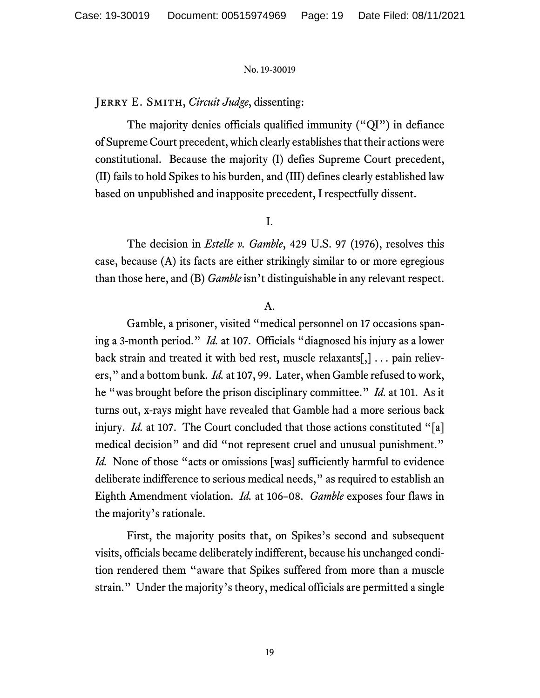## Jerry E. Smith, *Circuit Judge*, dissenting:

The majority denies officials qualified immunity ("QI") in defiance of Supreme Court precedent, which clearly establishes that their actions were constitutional. Because the majority (I) defies Supreme Court precedent, (II) fails to hold Spikes to his burden, and (III) defines clearly established law based on unpublished and inapposite precedent, I respectfully dissent.

## I.

The decision in *Estelle v. Gamble*, 429 U.S. 97 (1976), resolves this case, because (A) its facts are either strikingly similar to or more egregious than those here, and (B) *Gamble* isn't distinguishable in any relevant respect.

## A.

Gamble, a prisoner, visited "medical personnel on 17 occasions spaning a 3-month period." *Id.* at 107. Officials "diagnosed his injury as a lower back strain and treated it with bed rest, muscle relaxants[,] . . . pain relievers," and a bottom bunk. *Id.* at 107, 99. Later, when Gamble refused to work, he "was brought before the prison disciplinary committee." *Id.* at 101. As it turns out, x-rays might have revealed that Gamble had a more serious back injury. *Id.* at 107. The Court concluded that those actions constituted "[a] medical decision" and did "not represent cruel and unusual punishment." *Id.* None of those "acts or omissions [was] sufficiently harmful to evidence deliberate indifference to serious medical needs," as required to establish an Eighth Amendment violation. *Id.* at 106–08. *Gamble* exposes four flaws in the majority's rationale.

First, the majority posits that, on Spikes's second and subsequent visits, officials became deliberately indifferent, because his unchanged condition rendered them "aware that Spikes suffered from more than a muscle strain." Under the majority's theory, medical officials are permitted a single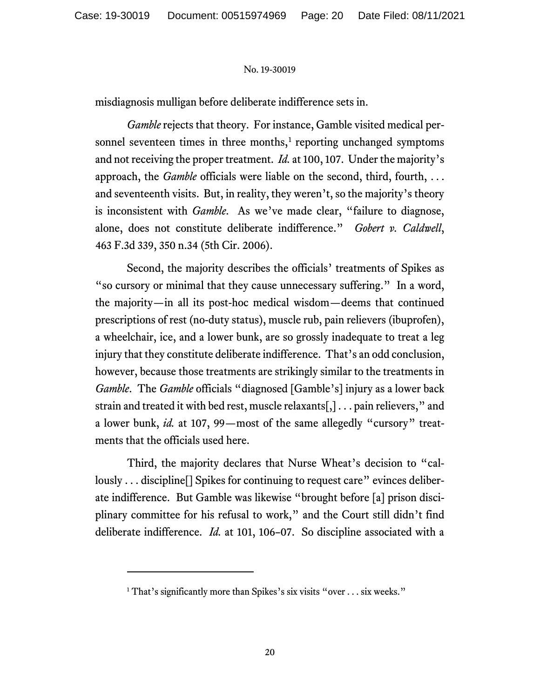misdiagnosis mulligan before deliberate indifference sets in.

*Gamble* rejects that theory. For instance, Gamble visited medical personnel seventeen times in three months, $<sup>1</sup>$  $<sup>1</sup>$  $<sup>1</sup>$  reporting unchanged symptoms</sup> and not receiving the proper treatment. *Id.* at 100, 107. Under the majority's approach, the *Gamble* officials were liable on the second, third, fourth, . . . and seventeenth visits. But, in reality, they weren't, so the majority's theory is inconsistent with *Gamble*. As we've made clear, "failure to diagnose, alone, does not constitute deliberate indifference." *Gobert v. Caldwell*, 463 F.3d 339, 350 n.34 (5th Cir. 2006).

Second, the majority describes the officials' treatments of Spikes as "so cursory or minimal that they cause unnecessary suffering." In a word, the majority—in all its post-hoc medical wisdom—deems that continued prescriptions of rest (no-duty status), muscle rub, pain relievers (ibuprofen), a wheelchair, ice, and a lower bunk, are so grossly inadequate to treat a leg injury that they constitute deliberate indifference. That's an odd conclusion, however, because those treatments are strikingly similar to the treatments in *Gamble*. The *Gamble* officials "diagnosed [Gamble's] injury as a lower back strain and treated it with bed rest, muscle relaxants[,] . . . pain relievers," and a lower bunk, *id.* at 107, 99—most of the same allegedly "cursory" treatments that the officials used here.

Third, the majority declares that Nurse Wheat's decision to "callously ... discipline [] Spikes for continuing to request care" evinces deliberate indifference. But Gamble was likewise "brought before [a] prison disciplinary committee for his refusal to work," and the Court still didn't find deliberate indifference. *Id.* at 101, 106–07. So discipline associated with a

<span id="page-19-0"></span><sup>&</sup>lt;sup>1</sup> That's significantly more than Spikes's six visits "over . . . six weeks."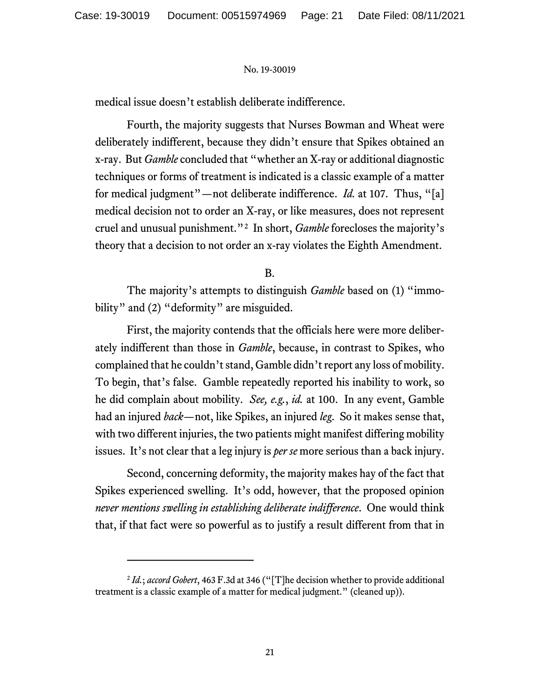medical issue doesn't establish deliberate indifference.

Fourth, the majority suggests that Nurses Bowman and Wheat were deliberately indifferent, because they didn't ensure that Spikes obtained an x-ray. But *Gamble* concluded that "whether an X-ray or additional diagnostic techniques or forms of treatment is indicated is a classic example of a matter for medical judgment"—not deliberate indifference. *Id.* at 107. Thus, "[a] medical decision not to order an X-ray, or like measures, does not represent cruel and unusual punishment."[2](#page-20-0) In short, *Gamble* forecloses the majority's theory that a decision to not order an x-ray violates the Eighth Amendment.

B.

The majority's attempts to distinguish *Gamble* based on (1) "immobility" and (2) "deformity" are misguided.

First, the majority contends that the officials here were more deliberately indifferent than those in *Gamble*, because, in contrast to Spikes, who complained that he couldn't stand, Gamble didn't report any loss of mobility. To begin, that's false. Gamble repeatedly reported his inability to work, so he did complain about mobility. *See, e.g.*, *id.* at 100. In any event, Gamble had an injured *back*—not, like Spikes, an injured *leg*. So it makes sense that, with two different injuries, the two patients might manifest differing mobility issues. It's not clear that a leg injury is *per se* more serious than a back injury.

Second, concerning deformity, the majority makes hay of the fact that Spikes experienced swelling. It's odd, however, that the proposed opinion *never mentions swelling in establishing deliberate indifference*. One would think that, if that fact were so powerful as to justify a result different from that in

<span id="page-20-0"></span><sup>2</sup> *Id.*; *accord Gobert*, 463 F.3d at 346 ("[T]he decision whether to provide additional treatment is a classic example of a matter for medical judgment." (cleaned up)).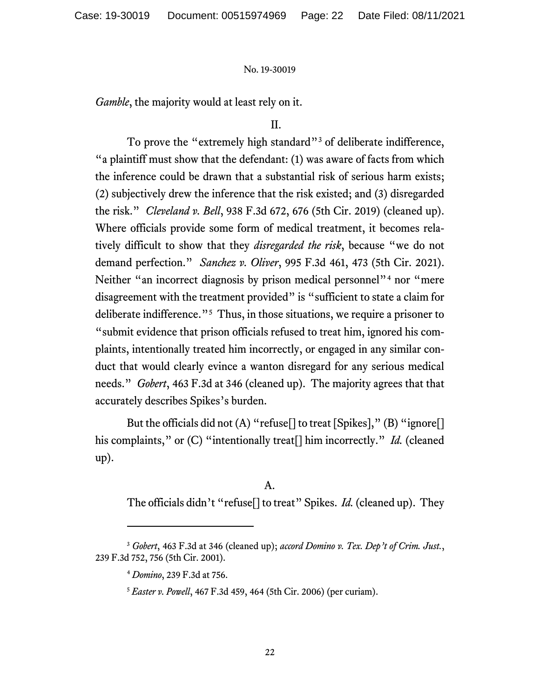*Gamble*, the majority would at least rely on it.

# II.

To prove the "extremely high standard"<sup>[3](#page-21-0)</sup> of deliberate indifference, "a plaintiff must show that the defendant: (1) was aware of facts from which the inference could be drawn that a substantial risk of serious harm exists; (2) subjectively drew the inference that the risk existed; and (3) disregarded the risk." *Cleveland v. Bell*, 938 F.3d 672, 676 (5th Cir. 2019) (cleaned up). Where officials provide some form of medical treatment, it becomes relatively difficult to show that they *disregarded the risk*, because "we do not demand perfection." *Sanchez v. Oliver*, 995 F.3d 461, 473 (5th Cir. 2021). Neither "an incorrect diagnosis by prison medical personnel"<sup>[4](#page-21-1)</sup> nor "mere disagreement with the treatment provided" is "sufficient to state a claim for deliberate indifference.<sup>"[5](#page-21-2)</sup> Thus, in those situations, we require a prisoner to "submit evidence that prison officials refused to treat him, ignored his complaints, intentionally treated him incorrectly, or engaged in any similar conduct that would clearly evince a wanton disregard for any serious medical needs." *Gobert*, 463 F.3d at 346 (cleaned up). The majority agrees that that accurately describes Spikes's burden.

But the officials did not (A) "refuse<sup>[]</sup> to treat [Spikes]," (B) "ignore<sup>[]</sup> his complaints," or (C) "intentionally treat<sup>[]</sup> him incorrectly." *Id.* (cleaned up).

## A.

The officials didn't "refuse[] to treat" Spikes. *Id.* (cleaned up). They

<span id="page-21-2"></span><span id="page-21-1"></span><span id="page-21-0"></span><sup>3</sup> *Gobert*, 463 F.3d at 346 (cleaned up); *accord Domino v. Tex. Dep't of Crim. Just.*, 239 F.3d 752, 756 (5th Cir. 2001).

<sup>4</sup> *Domino*, 239 F.3d at 756.

<sup>5</sup> *Easter v. Powell*, 467 F.3d 459, 464 (5th Cir. 2006) (per curiam).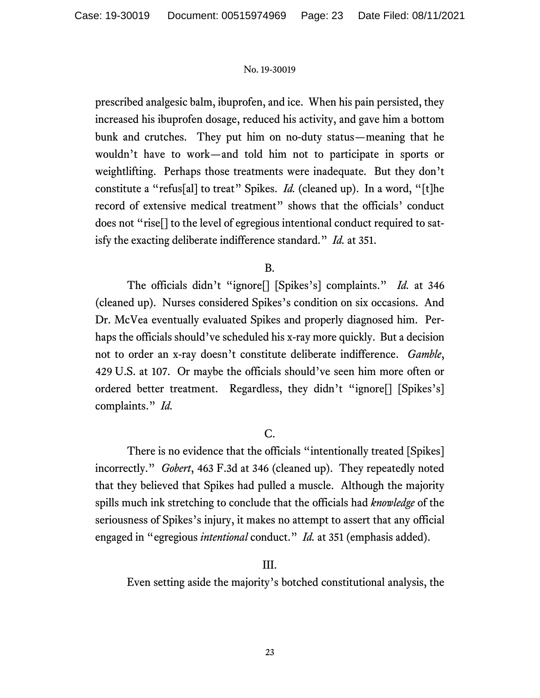prescribed analgesic balm, ibuprofen, and ice. When his pain persisted, they increased his ibuprofen dosage, reduced his activity, and gave him a bottom bunk and crutches. They put him on no-duty status—meaning that he wouldn't have to work—and told him not to participate in sports or weightlifting. Perhaps those treatments were inadequate. But they don't constitute a "refus[al] to treat" Spikes. *Id.* (cleaned up). In a word, "[t]he record of extensive medical treatment" shows that the officials' conduct does not "rise[] to the level of egregious intentional conduct required to satisfy the exacting deliberate indifference standard." *Id.* at 351.

# B.

The officials didn't "ignore[] [Spikes's] complaints." *Id.* at 346 (cleaned up). Nurses considered Spikes's condition on six occasions. And Dr. McVea eventually evaluated Spikes and properly diagnosed him. Perhaps the officials should've scheduled his x-ray more quickly. But a decision not to order an x-ray doesn't constitute deliberate indifference. *Gamble*, 429 U.S. at 107. Or maybe the officials should've seen him more often or ordered better treatment. Regardless, they didn't "ignore[] [Spikes's] complaints." *Id.*

# C.

There is no evidence that the officials "intentionally treated [Spikes] incorrectly." *Gobert*, 463 F.3d at 346 (cleaned up). They repeatedly noted that they believed that Spikes had pulled a muscle. Although the majority spills much ink stretching to conclude that the officials had *knowledge* of the seriousness of Spikes's injury, it makes no attempt to assert that any official engaged in "egregious *intentional* conduct." *Id.* at 351 (emphasis added).

# III.

Even setting aside the majority's botched constitutional analysis, the